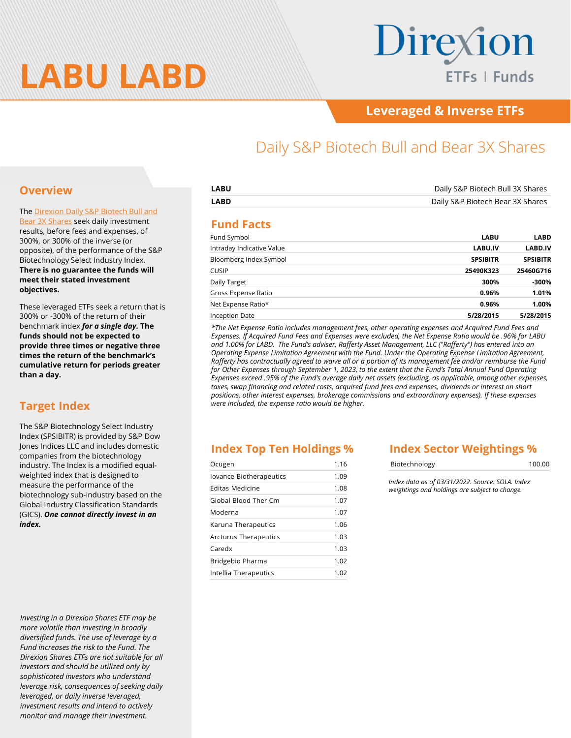

# Direxion ETFs | Funds

### **Leveraged & Inverse ETFs**

## Daily S&P Biotech Bull and Bear 3X Shares

#### **Overview**

[The Direxion Daily S&P Biotech Bull and](https://www.direxion.com/product/daily-sp-biotech-bull-bear-3x-etfs) Bear 3X Shares seek daily investment results, before fees and expenses, of 300%, or 300% of the inverse (or opposite), of the performance of the S&P Biotechnology Select Industry Index. **There is no guarantee the funds will meet their stated investment objectives.**

These leveraged ETFs seek a return that is 300% or -300% of the return of their benchmark index *for a single day.* **The funds should not be expected to provide three times or negative three times the return of the benchmark's cumulative return for periods greater than a day.**

#### **Target Index**

The S&P Biotechnology Select Industry Index (SPSIBITR) is provided by S&P Dow Jones Indices LLC and includes domestic companies from the biotechnology industry. The Index is a modified equalweighted index that is designed to measure the performance of the biotechnology sub-industry based on the Global Industry Classification Standards (GICS). *One cannot directly invest in an index.*

*Investing in a Direxion Shares ETF may be more volatile than investing in broadly diversified funds. The use of leverage by a Fund increases the risk to the Fund. The Direxion Shares ETFs are not suitable for all investors and should be utilized only by sophisticated investors who understand leverage risk, consequences of seeking daily leveraged, or daily inverse leveraged, investment results and intend to actively monitor and manage their investment.*

| LABU | Daily S&P Biotech Bull 3X Shares |
|------|----------------------------------|
| LABD | Daily S&P Biotech Bear 3X Shares |
|      |                                  |

#### **Fund Facts**

| Fund Symbol               | <b>LABU</b>     | <b>LABD</b>     |
|---------------------------|-----------------|-----------------|
| Intraday Indicative Value | LABU.IV         | <b>LABD.IV</b>  |
| Bloomberg Index Symbol    | <b>SPSIBITR</b> | <b>SPSIBITR</b> |
| <b>CUSIP</b>              | 25490K323       | 25460G716       |
| Daily Target              | 300%            | -300%           |
| Gross Expense Ratio       | 0.96%           | 1.01%           |
| Net Expense Ratio*        | 0.96%           | 1.00%           |
| Inception Date            | 5/28/2015       | 5/28/2015       |

*\*The Net Expense Ratio includes management fees, other operating expenses and Acquired Fund Fees and Expenses. If Acquired Fund Fees and Expenses were excluded, the Net Expense Ratio would be .96% for LABU and 1.00% for LABD. The Fund's adviser, Rafferty Asset Management, LLC ("Rafferty") has entered into an Operating Expense Limitation Agreement with the Fund. Under the Operating Expense Limitation Agreement, Rafferty has contractually agreed to waive all or a portion of its management fee and/or reimburse the Fund for Other Expenses through September 1, 2023, to the extent that the Fund's Total Annual Fund Operating Expenses exceed .95% of the Fund's average daily net assets (excluding, as applicable, among other expenses, taxes, swap financing and related costs, acquired fund fees and expenses, dividends or interest on short positions, other interest expenses, brokerage commissions and extraordinary expenses). If these expenses were included, the expense ratio would be higher.*

#### **Index Top Ten Holdings %**

| Ocugen                  | 1.16 |
|-------------------------|------|
| Iovance Biotherapeutics | 1.09 |
| Editas Medicine         | 1.08 |
| Global Blood Ther Cm    | 1.07 |
| Moderna                 | 1.07 |
| Karuna Therapeutics     | 1.06 |
| Arcturus Therapeutics   | 1.03 |
| Caredx                  | 1.03 |
| Bridgebio Pharma        | 1.02 |
| Intellia Therapeutics   | 1.02 |

#### **Index Sector Weightings %**

| Biotechnology | 100.00 |
|---------------|--------|
|               |        |

*Index data as of 03/31/2022. Source: SOLA. Index weightings and holdings are subject to change.*